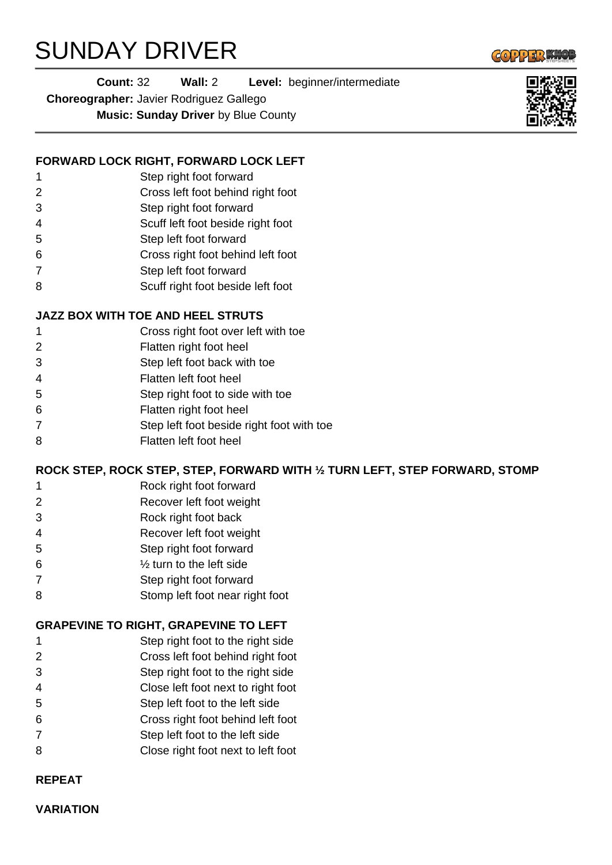# SUNDAY DRIVER



**Count:** 32 **Wall:** 2 **Level:** beginner/intermediate

**Choreographer:** Javier Rodriguez Gallego

**Music: Sunday Driver** by Blue County

# **FORWARD LOCK RIGHT, FORWARD LOCK LEFT**

- Step right foot forward
- Cross left foot behind right foot
- Step right foot forward
- Scuff left foot beside right foot
- Step left foot forward
- Cross right foot behind left foot
- Step left foot forward
- Scuff right foot beside left foot

## **JAZZ BOX WITH TOE AND HEEL STRUTS**

- Cross right foot over left with toe
- Flatten right foot heel
- Step left foot back with toe
- Flatten left foot heel
- Step right foot to side with toe
- Flatten right foot heel
- Step left foot beside right foot with toe
- Flatten left foot heel

### **ROCK STEP, ROCK STEP, STEP, FORWARD WITH ½ TURN LEFT, STEP FORWARD, STOMP**

- Rock right foot forward
- Recover left foot weight
- Rock right foot back
- Recover left foot weight
- Step right foot forward
- % turn to the left side
- Step right foot forward
- Stomp left foot near right foot

### **GRAPEVINE TO RIGHT, GRAPEVINE TO LEFT**

- Step right foot to the right side
- Cross left foot behind right foot
- Step right foot to the right side
- Close left foot next to right foot
- Step left foot to the left side
- Cross right foot behind left foot
- Step left foot to the left side
- Close right foot next to left foot

#### **REPEAT**

**VARIATION**